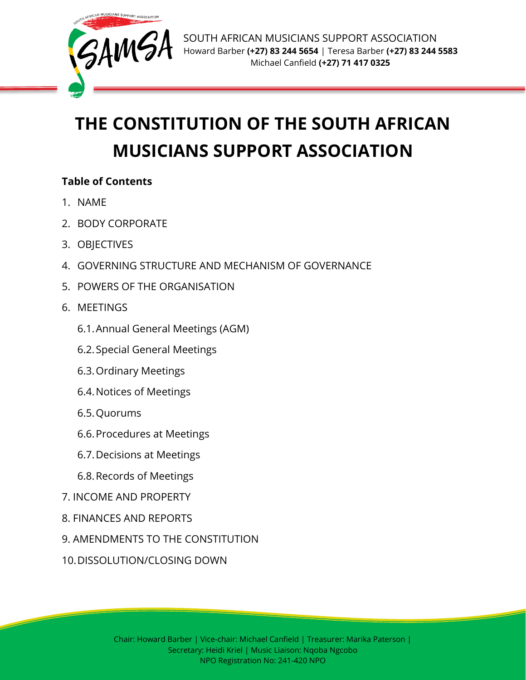

# **THE CONSTITUTION OF THE SOUTH AFRICAN MUSICIANS SUPPORT ASSOCIATION**

# **Table of Contents**

- 1. NAME
- 2. BODY CORPORATE
- 3. OBJECTIVES
- 4. GOVERNING STRUCTURE AND MECHANISM OF GOVERNANCE
- 5. POWERS OF THE ORGANISATION
- 6. MEETINGS
	- 6.1.Annual General Meetings (AGM)
	- 6.2.Special General Meetings
	- 6.3.Ordinary Meetings
	- 6.4.Notices of Meetings
	- 6.5.Quorums
	- 6.6.Procedures at Meetings
	- 6.7.Decisions at Meetings
	- 6.8.Records of Meetings
- 7. INCOME AND PROPERTY
- 8. FINANCES AND REPORTS
- 9. AMENDMENTS TO THE CONSTITUTION
- 10.DISSOLUTION/CLOSING DOWN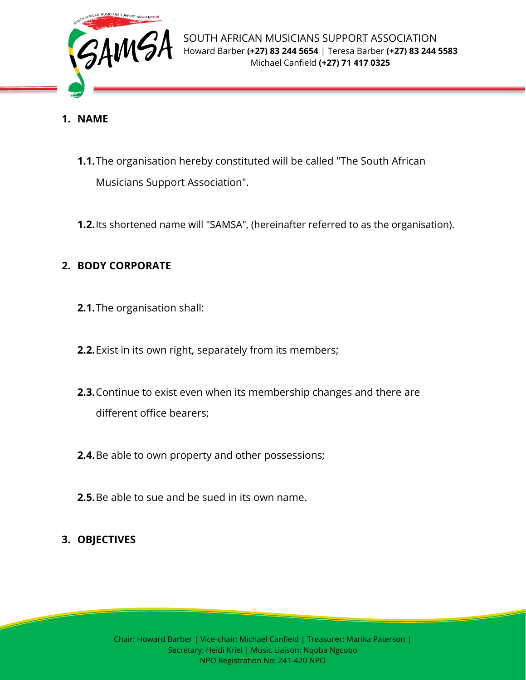

- **1. NAME**
	- **1.1.**The organisation hereby constituted will be called "The South African Musicians Support Association".
	- **1.2.**Its shortened name will "SAMSA", (hereinafter referred to as the organisation).

# **2. BODY CORPORATE**

- **2.1.**The organisation shall:
- **2.2.**Exist in its own right, separately from its members;
- **2.3.**Continue to exist even when its membership changes and there are different office bearers;
- **2.4.**Be able to own property and other possessions;
- **2.5.**Be able to sue and be sued in its own name.

## **3. OBJECTIVES**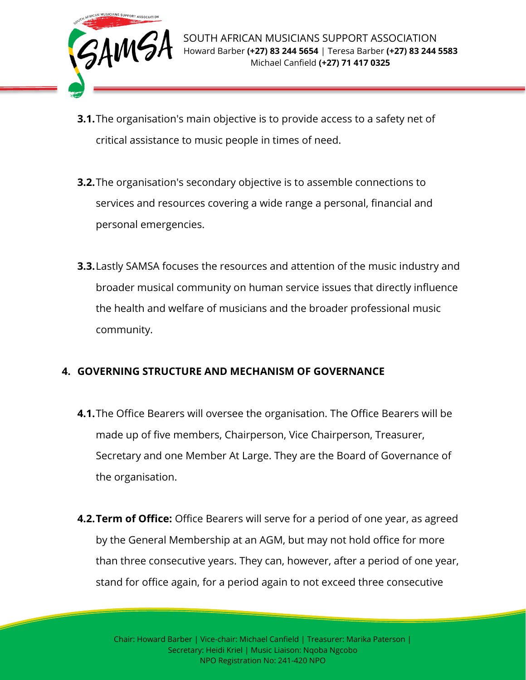

- **3.1.**The organisation's main objective is to provide access to a safety net of critical assistance to music people in times of need.
- **3.2.**The organisation's secondary objective is to assemble connections to services and resources covering a wide range a personal, financial and personal emergencies.
- **3.3.**Lastly SAMSA focuses the resources and attention of the music industry and broader musical community on human service issues that directly influence the health and welfare of musicians and the broader professional music community.

# **4. GOVERNING STRUCTURE AND MECHANISM OF GOVERNANCE**

- **4.1.**The Office Bearers will oversee the organisation. The Office Bearers will be made up of five members, Chairperson, Vice Chairperson, Treasurer, Secretary and one Member At Large. They are the Board of Governance of the organisation.
- **4.2.Term of Office:** Office Bearers will serve for a period of one year, as agreed by the General Membership at an AGM, but may not hold office for more than three consecutive years. They can, however, after a period of one year, stand for office again, for a period again to not exceed three consecutive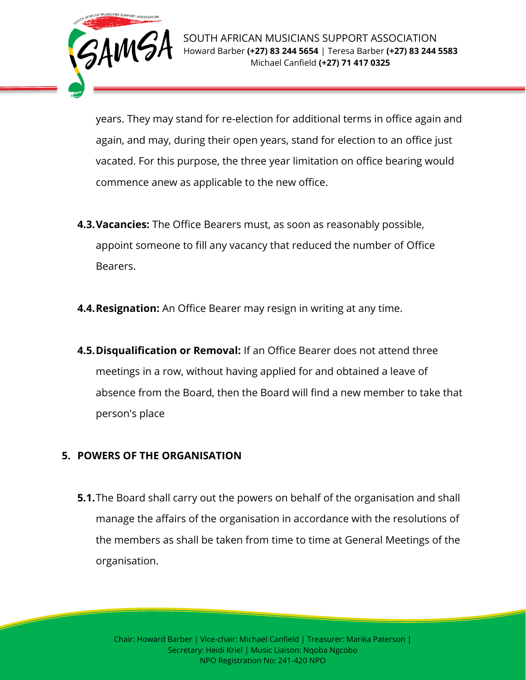

years. They may stand for re-election for additional terms in office again and again, and may, during their open years, stand for election to an office just vacated. For this purpose, the three year limitation on office bearing would commence anew as applicable to the new office.

- **4.3.Vacancies:** The Office Bearers must, as soon as reasonably possible, appoint someone to fill any vacancy that reduced the number of Office Bearers.
- **4.4.Resignation:** An Office Bearer may resign in writing at any time.
- **4.5.Disqualification or Removal:** If an Office Bearer does not attend three meetings in a row, without having applied for and obtained a leave of absence from the Board, then the Board will find a new member to take that person's place

# **5. POWERS OF THE ORGANISATION**

**5.1.**The Board shall carry out the powers on behalf of the organisation and shall manage the affairs of the organisation in accordance with the resolutions of the members as shall be taken from time to time at General Meetings of the organisation.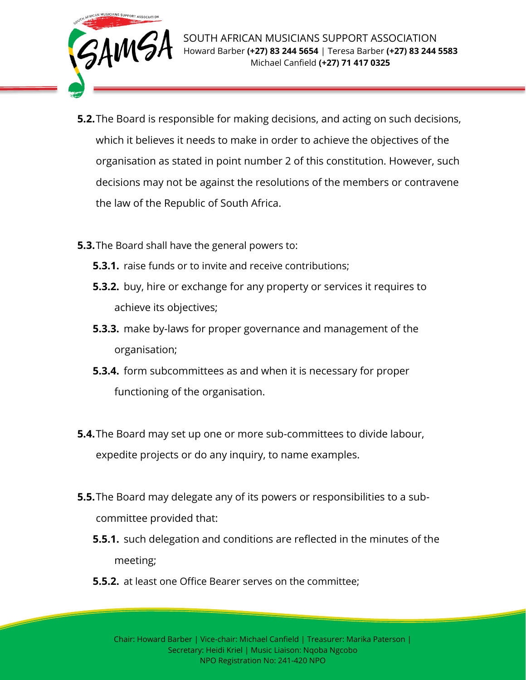

- **5.2.**The Board is responsible for making decisions, and acting on such decisions, which it believes it needs to make in order to achieve the objectives of the organisation as stated in point number 2 of this constitution. However, such decisions may not be against the resolutions of the members or contravene the law of the Republic of South Africa.
- **5.3.**The Board shall have the general powers to:
	- **5.3.1.** raise funds or to invite and receive contributions;
	- **5.3.2.** buy, hire or exchange for any property or services it requires to achieve its objectives;
	- **5.3.3.** make by-laws for proper governance and management of the organisation;
	- **5.3.4.** form subcommittees as and when it is necessary for proper functioning of the organisation.
- **5.4.**The Board may set up one or more sub-committees to divide labour, expedite projects or do any inquiry, to name examples.
- **5.5.**The Board may delegate any of its powers or responsibilities to a subcommittee provided that:
	- **5.5.1.** such delegation and conditions are reflected in the minutes of the meeting;
	- **5.5.2.** at least one Office Bearer serves on the committee;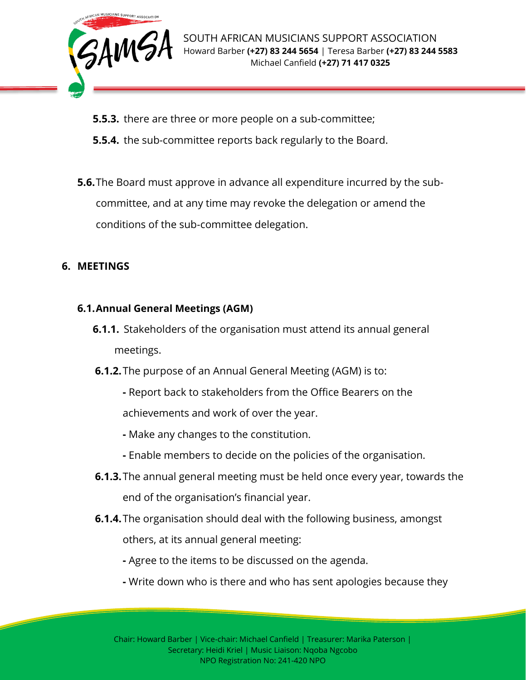

- **5.5.3.** there are three or more people on a sub-committee;
- **5.5.4.** the sub-committee reports back regularly to the Board.
- **5.6.**The Board must approve in advance all expenditure incurred by the subcommittee, and at any time may revoke the delegation or amend the conditions of the sub-committee delegation.

# **6. MEETINGS**

### **6.1.Annual General Meetings (AGM)**

- **6.1.1.** Stakeholders of the organisation must attend its annual general meetings.
- **6.1.2.**The purpose of an Annual General Meeting (AGM) is to:
	- **-** Report back to stakeholders from the Office Bearers on the achievements and work of over the year.
	- **-** Make any changes to the constitution.
	- **-** Enable members to decide on the policies of the organisation.
- **6.1.3.**The annual general meeting must be held once every year, towards the end of the organisation's financial year.
- **6.1.4.**The organisation should deal with the following business, amongst others, at its annual general meeting:
	- **-** Agree to the items to be discussed on the agenda.
	- **-** Write down who is there and who has sent apologies because they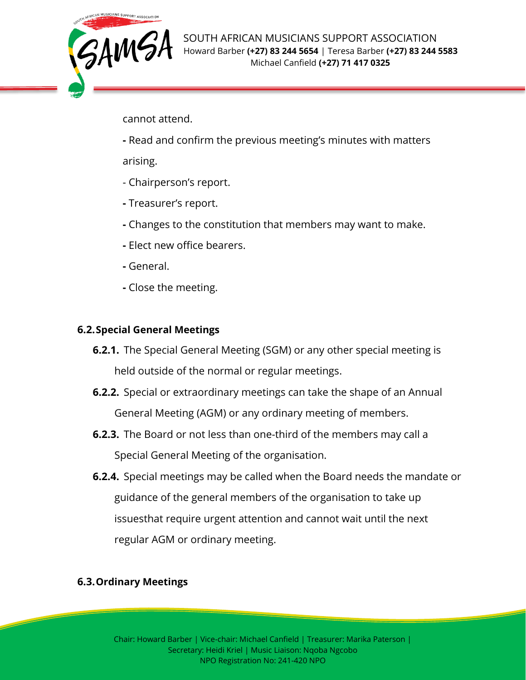

cannot attend.

**-** Read and confirm the previous meeting's minutes with matters

arising.

- Chairperson's report.
- **-** Treasurer's report.
- **-** Changes to the constitution that members may want to make.
- **-** Elect new office bearers.
- **-** General.
- **-** Close the meeting.

#### **6.2.Special General Meetings**

- **6.2.1.** The Special General Meeting (SGM) or any other special meeting is held outside of the normal or regular meetings.
- **6.2.2.** Special or extraordinary meetings can take the shape of an Annual General Meeting (AGM) or any ordinary meeting of members.
- **6.2.3.** The Board or not less than one-third of the members may call a Special General Meeting of the organisation.
- **6.2.4.** Special meetings may be called when the Board needs the mandate or guidance of the general members of the organisation to take up issuesthat require urgent attention and cannot wait until the next regular AGM or ordinary meeting.

# **6.3.Ordinary Meetings**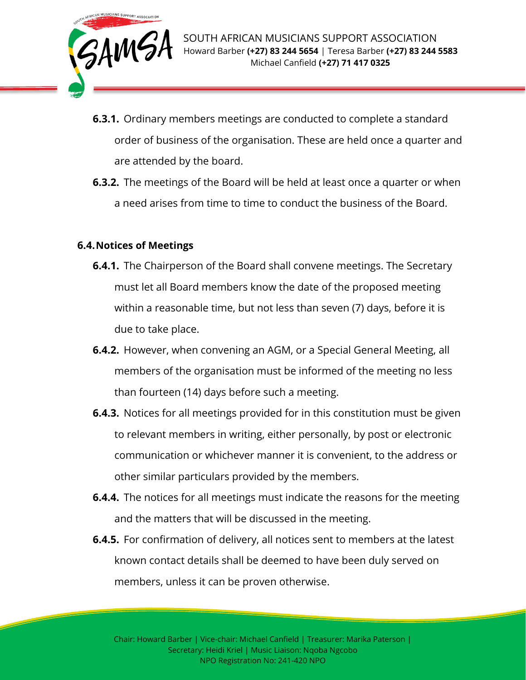

- **6.3.1.** Ordinary members meetings are conducted to complete a standard order of business of the organisation. These are held once a quarter and are attended by the board.
- **6.3.2.** The meetings of the Board will be held at least once a quarter or when a need arises from time to time to conduct the business of the Board.

#### **6.4.Notices of Meetings**

- **6.4.1.** The Chairperson of the Board shall convene meetings. The Secretary must let all Board members know the date of the proposed meeting within a reasonable time, but not less than seven (7) days, before it is due to take place.
- **6.4.2.** However, when convening an AGM, or a Special General Meeting, all members of the organisation must be informed of the meeting no less than fourteen (14) days before such a meeting.
- **6.4.3.** Notices for all meetings provided for in this constitution must be given to relevant members in writing, either personally, by post or electronic communication or whichever manner it is convenient, to the address or other similar particulars provided by the members.
- **6.4.4.** The notices for all meetings must indicate the reasons for the meeting and the matters that will be discussed in the meeting.
- **6.4.5.** For confirmation of delivery, all notices sent to members at the latest known contact details shall be deemed to have been duly served on members, unless it can be proven otherwise.

Chair: Howard Barber | Vice-chair: Michael Canfield | Treasurer: Marika Paterson | Secretary: Heidi Kriel | Music Liaison: Nqoba Ngcobo NPO Registration No: 241-420 NPO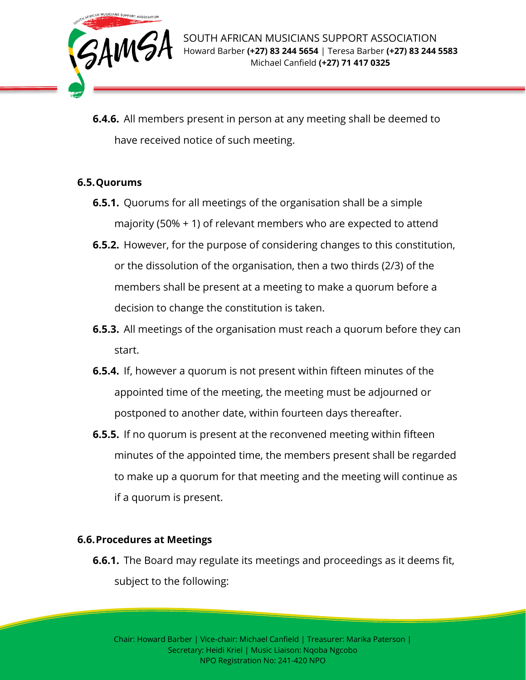

**6.4.6.** All members present in person at any meeting shall be deemed to have received notice of such meeting.

### **6.5.Quorums**

- **6.5.1.** Quorums for all meetings of the organisation shall be a simple majority (50% + 1) of relevant members who are expected to attend
- **6.5.2.** However, for the purpose of considering changes to this constitution, or the dissolution of the organisation, then a two thirds (2/3) of the members shall be present at a meeting to make a quorum before a decision to change the constitution is taken.
- **6.5.3.** All meetings of the organisation must reach a quorum before they can start.
- **6.5.4.** If, however a quorum is not present within fifteen minutes of the appointed time of the meeting, the meeting must be adjourned or postponed to another date, within fourteen days thereafter.
- **6.5.5.** If no quorum is present at the reconvened meeting within fifteen minutes of the appointed time, the members present shall be regarded to make up a quorum for that meeting and the meeting will continue as if a quorum is present.

#### **6.6.Procedures at Meetings**

**6.6.1.** The Board may regulate its meetings and proceedings as it deems fit, subject to the following: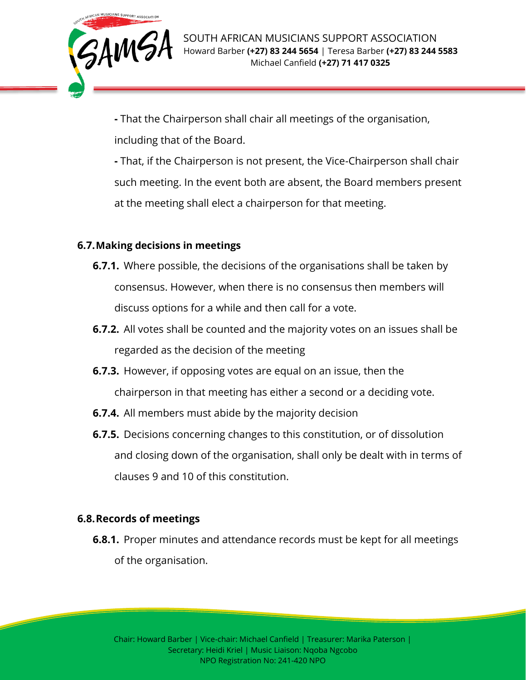

**-** That the Chairperson shall chair all meetings of the organisation, including that of the Board.

**-** That, if the Chairperson is not present, the Vice-Chairperson shall chair such meeting. In the event both are absent, the Board members present at the meeting shall elect a chairperson for that meeting.

### **6.7.Making decisions in meetings**

- **6.7.1.** Where possible, the decisions of the organisations shall be taken by consensus. However, when there is no consensus then members will discuss options for a while and then call for a vote.
- **6.7.2.** All votes shall be counted and the majority votes on an issues shall be regarded as the decision of the meeting
- **6.7.3.** However, if opposing votes are equal on an issue, then the chairperson in that meeting has either a second or a deciding vote.
- **6.7.4.** All members must abide by the majority decision
- **6.7.5.** Decisions concerning changes to this constitution, or of dissolution and closing down of the organisation, shall only be dealt with in terms of clauses 9 and 10 of this constitution.

#### **6.8.Records of meetings**

**6.8.1.** Proper minutes and attendance records must be kept for all meetings of the organisation.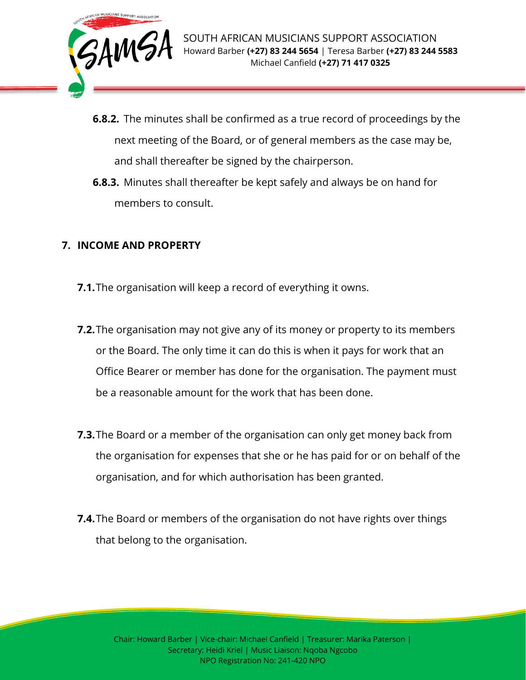

- **6.8.2.** The minutes shall be confirmed as a true record of proceedings by the next meeting of the Board, or of general members as the case may be, and shall thereafter be signed by the chairperson.
- **6.8.3.** Minutes shall thereafter be kept safely and always be on hand for members to consult.

# **7. INCOME AND PROPERTY**

- **7.1.**The organisation will keep a record of everything it owns.
- **7.2.**The organisation may not give any of its money or property to its members or the Board. The only time it can do this is when it pays for work that an Office Bearer or member has done for the organisation. The payment must be a reasonable amount for the work that has been done.
- **7.3.**The Board or a member of the organisation can only get money back from the organisation for expenses that she or he has paid for or on behalf of the organisation, and for which authorisation has been granted.
- **7.4.**The Board or members of the organisation do not have rights over things that belong to the organisation.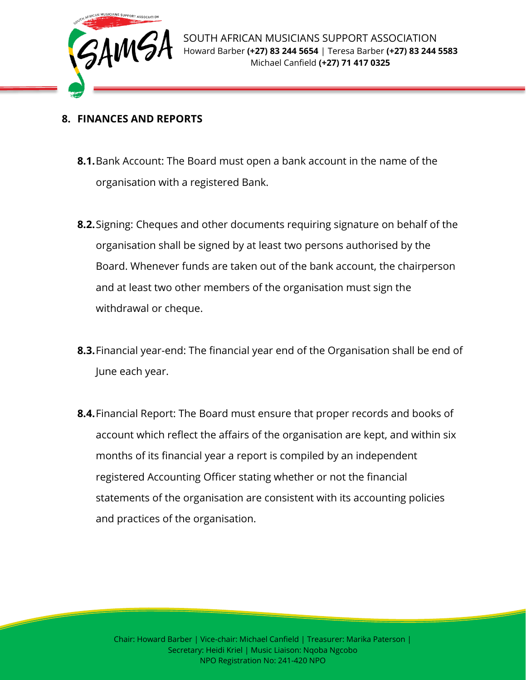

## **8. FINANCES AND REPORTS**

- **8.1.**Bank Account: The Board must open a bank account in the name of the organisation with a registered Bank.
- **8.2.**Signing: Cheques and other documents requiring signature on behalf of the organisation shall be signed by at least two persons authorised by the Board. Whenever funds are taken out of the bank account, the chairperson and at least two other members of the organisation must sign the withdrawal or cheque.
- **8.3.**Financial year-end: The financial year end of the Organisation shall be end of June each year.
- **8.4.**Financial Report: The Board must ensure that proper records and books of account which reflect the affairs of the organisation are kept, and within six months of its financial year a report is compiled by an independent registered Accounting Officer stating whether or not the financial statements of the organisation are consistent with its accounting policies and practices of the organisation.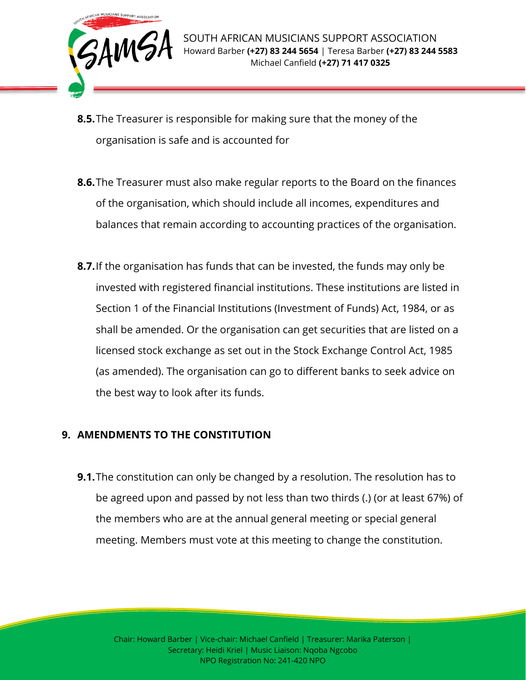

- **8.5.**The Treasurer is responsible for making sure that the money of the organisation is safe and is accounted for
- **8.6.**The Treasurer must also make regular reports to the Board on the finances of the organisation, which should include all incomes, expenditures and balances that remain according to accounting practices of the organisation.
- **8.7.**If the organisation has funds that can be invested, the funds may only be invested with registered financial institutions. These institutions are listed in Section 1 of the Financial Institutions (Investment of Funds) Act, 1984, or as shall be amended. Or the organisation can get securities that are listed on a licensed stock exchange as set out in the Stock Exchange Control Act, 1985 (as amended). The organisation can go to different banks to seek advice on the best way to look after its funds.

# **9. AMENDMENTS TO THE CONSTITUTION**

**9.1.**The constitution can only be changed by a resolution. The resolution has to be agreed upon and passed by not less than two thirds (.) (or at least 67%) of the members who are at the annual general meeting or special general meeting. Members must vote at this meeting to change the constitution.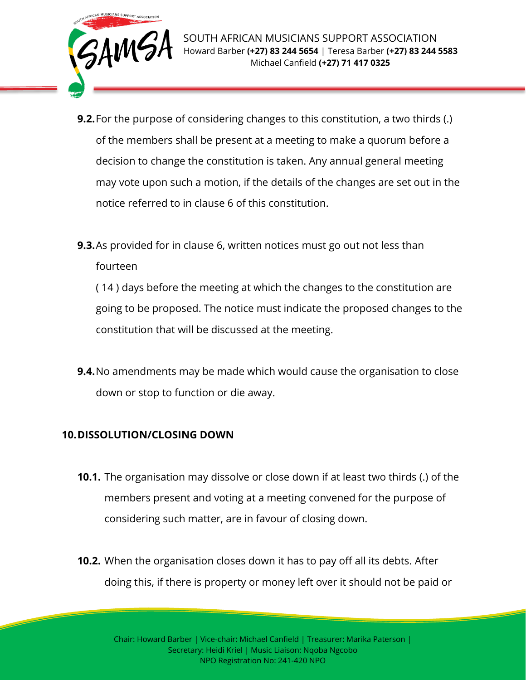

- **9.2.**For the purpose of considering changes to this constitution, a two thirds (.) of the members shall be present at a meeting to make a quorum before a decision to change the constitution is taken. Any annual general meeting may vote upon such a motion, if the details of the changes are set out in the notice referred to in clause 6 of this constitution.
- **9.3.**As provided for in clause 6, written notices must go out not less than fourteen

( 14 ) days before the meeting at which the changes to the constitution are going to be proposed. The notice must indicate the proposed changes to the constitution that will be discussed at the meeting.

**9.4.**No amendments may be made which would cause the organisation to close down or stop to function or die away.

# **10.DISSOLUTION/CLOSING DOWN**

- **10.1.** The organisation may dissolve or close down if at least two thirds (.) of the members present and voting at a meeting convened for the purpose of considering such matter, are in favour of closing down.
- **10.2.** When the organisation closes down it has to pay off all its debts. After doing this, if there is property or money left over it should not be paid or